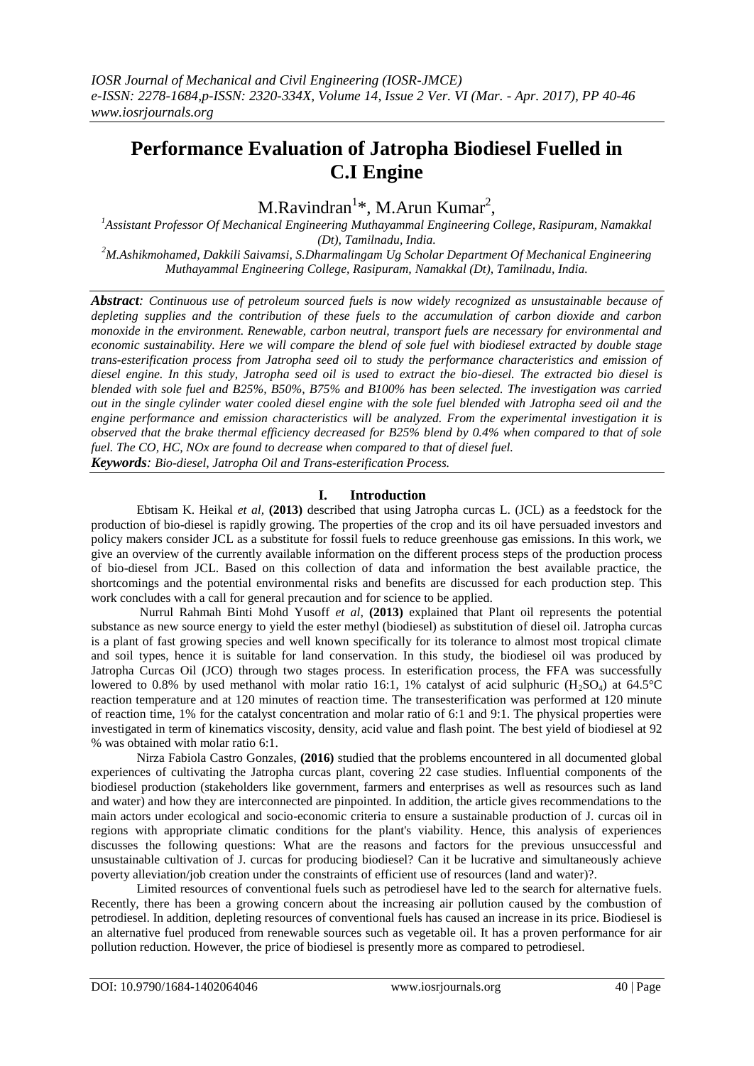# **Performance Evaluation of Jatropha Biodiesel Fuelled in C.I Engine**

M.Ravindran<sup>1\*</sup>, M.Arun Kumar<sup>2</sup>,

*<sup>1</sup>Assistant Professor Of Mechanical Engineering Muthayammal Engineering College, Rasipuram, Namakkal (Dt), Tamilnadu, India.*

*<sup>2</sup>M.Ashikmohamed, Dakkili Saivamsi, S.Dharmalingam Ug Scholar Department Of Mechanical Engineering Muthayammal Engineering College, Rasipuram, Namakkal (Dt), Tamilnadu, India.*

*Abstract: Continuous use of petroleum sourced fuels is now widely recognized as unsustainable because of depleting supplies and the contribution of these fuels to the accumulation of carbon dioxide and carbon monoxide in the environment. Renewable, carbon neutral, transport fuels are necessary for environmental and economic sustainability. Here we will compare the blend of sole fuel with biodiesel extracted by double stage trans-esterification process from Jatropha seed oil to study the performance characteristics and emission of diesel engine. In this study, Jatropha seed oil is used to extract the bio-diesel. The extracted bio diesel is blended with sole fuel and B25%, B50%, B75% and B100% has been selected. The investigation was carried out in the single cylinder water cooled diesel engine with the sole fuel blended with Jatropha seed oil and the engine performance and emission characteristics will be analyzed. From the experimental investigation it is observed that the brake thermal efficiency decreased for B25% blend by 0.4% when compared to that of sole fuel. The CO, HC, NOx are found to decrease when compared to that of diesel fuel. Keywords: Bio-diesel, Jatropha Oil and Trans-esterification Process.*

## **I. Introduction**

Ebtisam K. Heikal *et al,* **(2013)** described that using Jatropha curcas L. (JCL) as a feedstock for the production of bio-diesel is rapidly growing. The properties of the crop and its oil have persuaded investors and policy makers consider JCL as a substitute for fossil fuels to reduce greenhouse gas emissions. In this work, we give an overview of the currently available information on the different process steps of the production process of bio-diesel from JCL. Based on this collection of data and information the best available practice, the shortcomings and the potential environmental risks and benefits are discussed for each production step. This work concludes with a call for general precaution and for science to be applied.

Nurrul Rahmah Binti Mohd Yusoff *et al,* **(2013)** explained that Plant oil represents the potential substance as new source energy to yield the ester methyl (biodiesel) as substitution of diesel oil. Jatropha curcas is a plant of fast growing species and well known specifically for its tolerance to almost most tropical climate and soil types, hence it is suitable for land conservation. In this study, the biodiesel oil was produced by Jatropha Curcas Oil (JCO) through two stages process. In esterification process, the FFA was successfully lowered to 0.8% by used methanol with molar ratio 16:1, 1% catalyst of acid sulphuric  $(H_2SO_4)$  at 64.5°C reaction temperature and at 120 minutes of reaction time. The transesterification was performed at 120 minute of reaction time, 1% for the catalyst concentration and molar ratio of 6:1 and 9:1. The physical properties were investigated in term of kinematics viscosity, density, acid value and flash point. The best yield of biodiesel at 92 % was obtained with molar ratio 6:1.

Nirza Fabiola Castro Gonzales, **(2016)** studied that the problems encountered in all documented global experiences of cultivating the Jatropha curcas plant, covering 22 case studies. Influential components of the biodiesel production (stakeholders like government, farmers and enterprises as well as resources such as land and water) and how they are interconnected are pinpointed. In addition, the article gives recommendations to the main actors under ecological and socio-economic criteria to ensure a sustainable production of J. curcas oil in regions with appropriate climatic conditions for the plant's viability. Hence, this analysis of experiences discusses the following questions: What are the reasons and factors for the previous unsuccessful and unsustainable cultivation of J. curcas for producing biodiesel? Can it be lucrative and simultaneously achieve poverty alleviation/job creation under the constraints of efficient use of resources (land and water)?.

Limited resources of conventional fuels such as petrodiesel have led to the search for alternative fuels. Recently, there has been a growing concern about the increasing air pollution caused by the combustion of petrodiesel. In addition, depleting resources of conventional fuels has caused an increase in its price. Biodiesel is an alternative fuel produced from renewable sources such as vegetable oil. It has a proven performance for air pollution reduction. However, the price of biodiesel is presently more as compared to petrodiesel.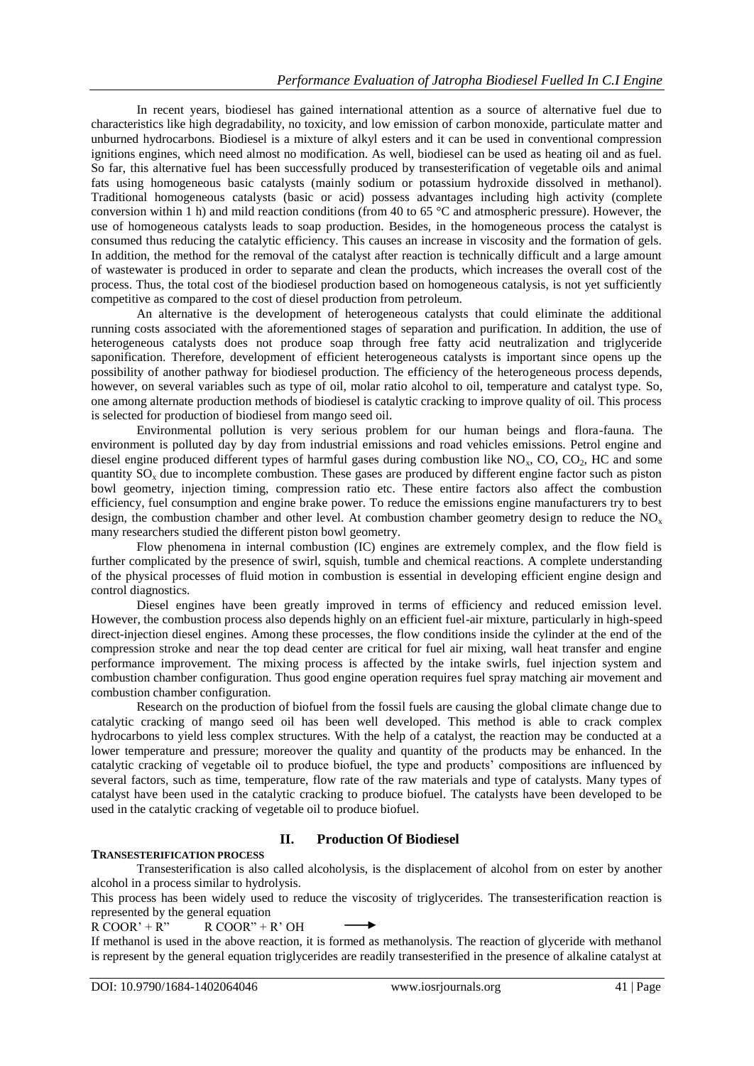In recent years, biodiesel has gained international attention as a source of alternative fuel due to characteristics like high degradability, no toxicity, and low emission of carbon monoxide, particulate matter and unburned hydrocarbons. Biodiesel is a mixture of alkyl esters and it can be used in conventional compression ignitions engines, which need almost no modification. As well, biodiesel can be used as heating oil and as fuel. So far, this alternative fuel has been successfully produced by transesterification of vegetable oils and animal fats using homogeneous basic catalysts (mainly sodium or potassium hydroxide dissolved in methanol). Traditional homogeneous catalysts (basic or acid) possess advantages including high activity (complete conversion within 1 h) and mild reaction conditions (from 40 to 65 °C and atmospheric pressure). However, the use of homogeneous catalysts leads to soap production. Besides, in the homogeneous process the catalyst is consumed thus reducing the catalytic efficiency. This causes an increase in viscosity and the formation of gels. In addition, the method for the removal of the catalyst after reaction is technically difficult and a large amount of wastewater is produced in order to separate and clean the products, which increases the overall cost of the process. Thus, the total cost of the biodiesel production based on homogeneous catalysis, is not yet sufficiently competitive as compared to the cost of diesel production from petroleum.

An alternative is the development of heterogeneous catalysts that could eliminate the additional running costs associated with the aforementioned stages of separation and purification. In addition, the use of heterogeneous catalysts does not produce soap through free fatty acid neutralization and triglyceride saponification. Therefore, development of efficient heterogeneous catalysts is important since opens up the possibility of another pathway for biodiesel production. The efficiency of the heterogeneous process depends, however, on several variables such as type of oil, molar ratio alcohol to oil, temperature and catalyst type. So, one among alternate production methods of biodiesel is catalytic cracking to improve quality of oil. This process is selected for production of biodiesel from mango seed oil.

Environmental pollution is very serious problem for our human beings and flora-fauna. The environment is polluted day by day from industrial emissions and road vehicles emissions. Petrol engine and diesel engine produced different types of harmful gases during combustion like NO<sub>x</sub>, CO, CO<sub>2</sub>, HC and some quantity  $SO<sub>x</sub>$  due to incomplete combustion. These gases are produced by different engine factor such as piston bowl geometry, injection timing, compression ratio etc. These entire factors also affect the combustion efficiency, fuel consumption and engine brake power. To reduce the emissions engine manufacturers try to best design, the combustion chamber and other level. At combustion chamber geometry design to reduce the NO<sub>x</sub> many researchers studied the different piston bowl geometry.

Flow phenomena in internal combustion (IC) engines are extremely complex, and the flow field is further complicated by the presence of swirl, squish, tumble and chemical reactions. A complete understanding of the physical processes of fluid motion in combustion is essential in developing efficient engine design and control diagnostics.

Diesel engines have been greatly improved in terms of efficiency and reduced emission level. However, the combustion process also depends highly on an efficient fuel-air mixture, particularly in high-speed direct-injection diesel engines. Among these processes, the flow conditions inside the cylinder at the end of the compression stroke and near the top dead center are critical for fuel air mixing, wall heat transfer and engine performance improvement. The mixing process is affected by the intake swirls, fuel injection system and combustion chamber configuration. Thus good engine operation requires fuel spray matching air movement and combustion chamber configuration.

Research on the production of biofuel from the fossil fuels are causing the global climate change due to catalytic cracking of mango seed oil has been well developed. This method is able to crack complex hydrocarbons to yield less complex structures. With the help of a catalyst, the reaction may be conducted at a lower temperature and pressure; moreover the quality and quantity of the products may be enhanced. In the catalytic cracking of vegetable oil to produce biofuel, the type and products' compositions are influenced by several factors, such as time, temperature, flow rate of the raw materials and type of catalysts. Many types of catalyst have been used in the catalytic cracking to produce biofuel. The catalysts have been developed to be used in the catalytic cracking of vegetable oil to produce biofuel.

# **II. Production Of Biodiesel**

## **TRANSESTERIFICATION PROCESS**

Transesterification is also called alcoholysis, is the displacement of alcohol from on ester by another alcohol in a process similar to hydrolysis.

This process has been widely used to reduce the viscosity of triglycerides. The transesterification reaction is represented by the general equation

 $R COOR' + R''$   $R COOR'' + R' OH$ 

If methanol is used in the above reaction, it is formed as methanolysis. The reaction of glyceride with methanol is represent by the general equation triglycerides are readily transesterified in the presence of alkaline catalyst at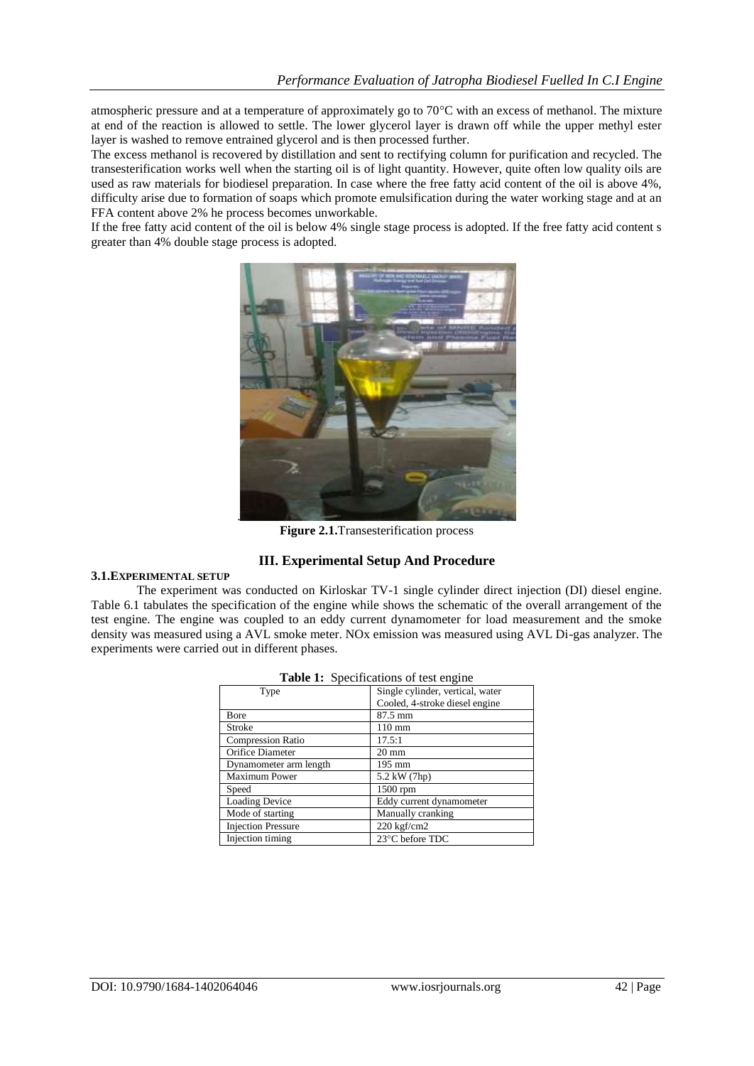atmospheric pressure and at a temperature of approximately go to  $70^{\circ}$ C with an excess of methanol. The mixture at end of the reaction is allowed to settle. The lower glycerol layer is drawn off while the upper methyl ester layer is washed to remove entrained glycerol and is then processed further.

The excess methanol is recovered by distillation and sent to rectifying column for purification and recycled. The transesterification works well when the starting oil is of light quantity. However, quite often low quality oils are used as raw materials for biodiesel preparation. In case where the free fatty acid content of the oil is above 4%, difficulty arise due to formation of soaps which promote emulsification during the water working stage and at an FFA content above 2% he process becomes unworkable.

If the free fatty acid content of the oil is below 4% single stage process is adopted. If the free fatty acid content s greater than 4% double stage process is adopted.



**Figure 2.1.**Transesterification process

# **III. Experimental Setup And Procedure**

#### **3.1.EXPERIMENTAL SETUP**

The experiment was conducted on Kirloskar TV-1 single cylinder direct injection (DI) diesel engine. Table 6.1 tabulates the specification of the engine while shows the schematic of the overall arrangement of the test engine. The engine was coupled to an eddy current dynamometer for load measurement and the smoke density was measured using a AVL smoke meter. NOx emission was measured using AVL Di-gas analyzer. The experiments were carried out in different phases.

| Type                      | Single cylinder, vertical, water<br>Cooled, 4-stroke diesel engine |
|---------------------------|--------------------------------------------------------------------|
| Bore                      | 87.5 mm                                                            |
| Stroke                    | $110 \text{ mm}$                                                   |
| <b>Compression Ratio</b>  | 17.5:1                                                             |
| Orifice Diameter          | $20 \text{ mm}$                                                    |
| Dynamometer arm length    | 195 mm                                                             |
| <b>Maximum Power</b>      | 5.2 kW (7hp)                                                       |
| Speed                     | 1500 rpm                                                           |
| <b>Loading Device</b>     | Eddy current dynamometer                                           |
| Mode of starting          | Manually cranking                                                  |
| <b>Injection Pressure</b> | 220 kgf/cm2                                                        |
| Injection timing          | 23°C before TDC                                                    |

|  | <b>Table 1:</b> Specifications of test engine |  |
|--|-----------------------------------------------|--|
|--|-----------------------------------------------|--|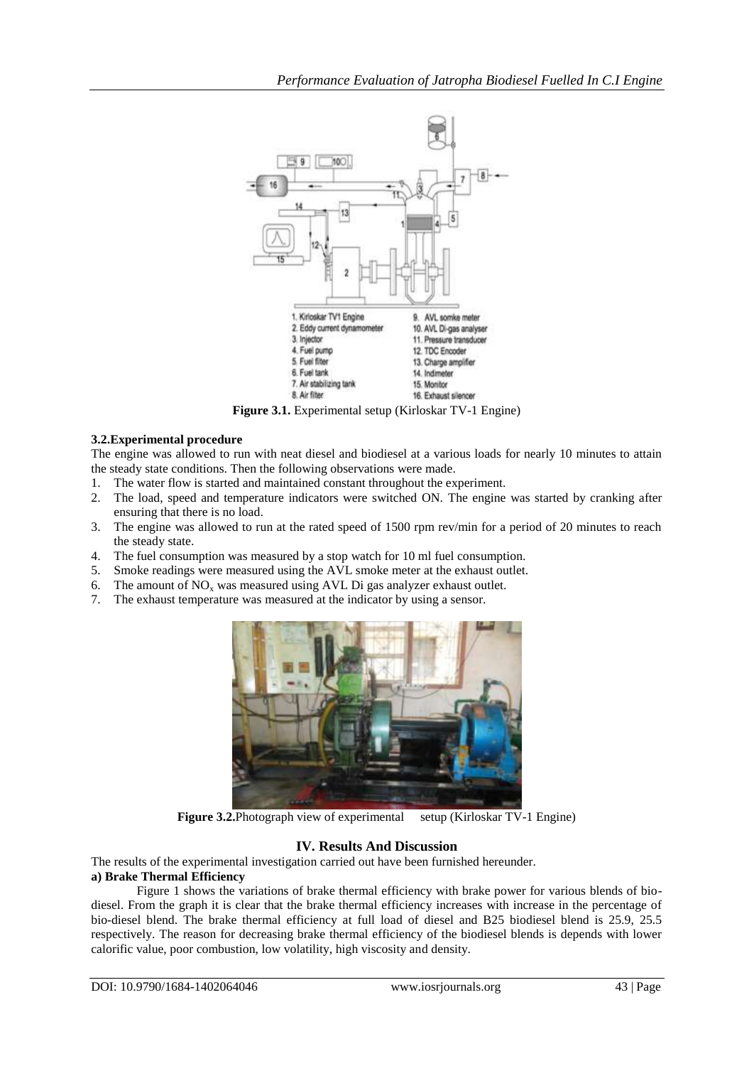

**Figure 3.1.** Experimental setup (Kirloskar TV-1 Engine)

### **3.2.Experimental procedure**

The engine was allowed to run with neat diesel and biodiesel at a various loads for nearly 10 minutes to attain the steady state conditions. Then the following observations were made.

- 1. The water flow is started and maintained constant throughout the experiment.
- 2. The load, speed and temperature indicators were switched ON. The engine was started by cranking after ensuring that there is no load.
- 3. The engine was allowed to run at the rated speed of 1500 rpm rev/min for a period of 20 minutes to reach the steady state.
- 4. The fuel consumption was measured by a stop watch for 10 ml fuel consumption.
- 5. Smoke readings were measured using the AVL smoke meter at the exhaust outlet.
- 6. The amount of  $NO<sub>x</sub>$  was measured using AVL Di gas analyzer exhaust outlet.
- 7. The exhaust temperature was measured at the indicator by using a sensor.



**Figure 3.2.**Photograph view of experimental setup (Kirloskar TV-1 Engine)

## **IV. Results And Discussion**

The results of the experimental investigation carried out have been furnished hereunder. **a) Brake Thermal Efficiency**

Figure 1 shows the variations of brake thermal efficiency with brake power for various blends of biodiesel. From the graph it is clear that the brake thermal efficiency increases with increase in the percentage of bio-diesel blend. The brake thermal efficiency at full load of diesel and B25 biodiesel blend is 25.9, 25.5 respectively. The reason for decreasing brake thermal efficiency of the biodiesel blends is depends with lower calorific value, poor combustion, low volatility, high viscosity and density.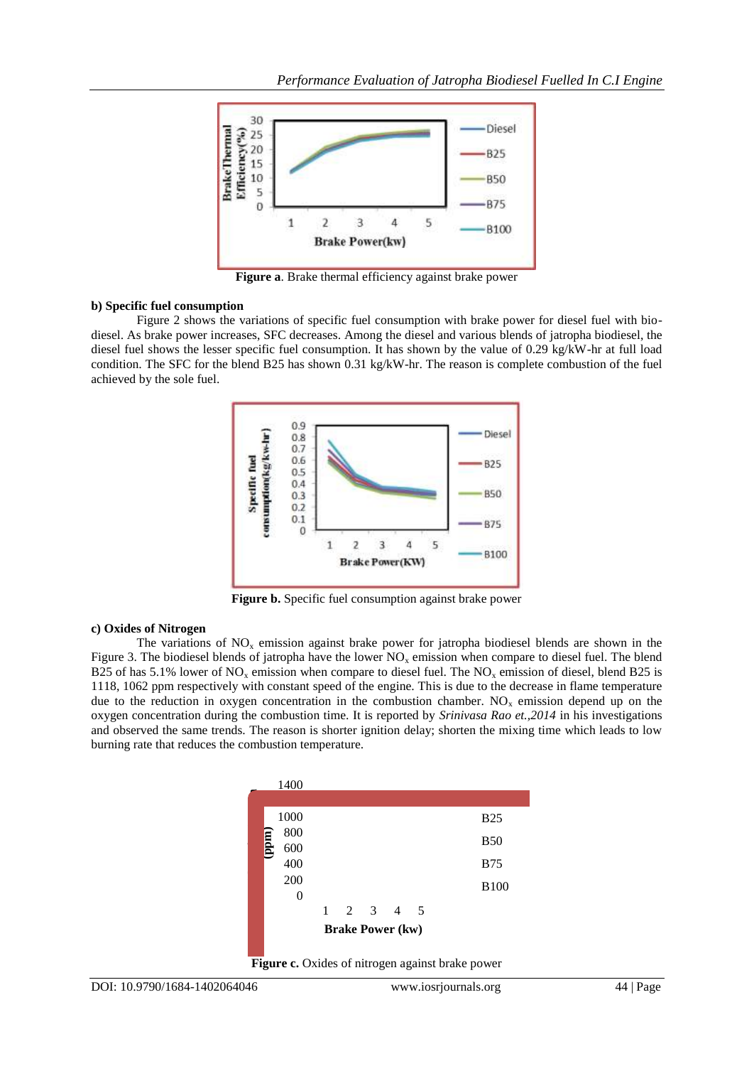

**Figure a**. Brake thermal efficiency against brake power

#### **b) Specific fuel consumption**

Figure 2 shows the variations of specific fuel consumption with brake power for diesel fuel with biodiesel. As brake power increases, SFC decreases. Among the diesel and various blends of jatropha biodiesel, the diesel fuel shows the lesser specific fuel consumption. It has shown by the value of 0.29 kg/kW-hr at full load condition. The SFC for the blend B25 has shown 0.31 kg/kW-hr. The reason is complete combustion of the fuel achieved by the sole fuel.



**Figure b.** Specific fuel consumption against brake power

## **c) Oxides of Nitrogen**

The variations of  $NO<sub>x</sub>$  emission against brake power for jatropha biodiesel blends are shown in the Figure 3. The biodiesel blends of jatropha have the lower  $NO<sub>x</sub>$  emission when compare to diesel fuel. The blend B25 of has 5.1% lower of NO<sub>x</sub> emission when compare to diesel fuel. The NO<sub>x</sub> emission of diesel, blend B25 is 1118, 1062 ppm respectively with constant speed of the engine. This is due to the decrease in flame temperature due to the reduction in oxygen concentration in the combustion chamber.  $NO<sub>x</sub>$  emission depend up on the oxygen concentration during the combustion time. It is reported by *Srinivasa Rao et.,2014* in his investigations and observed the same trends. The reason is shorter ignition delay; shorten the mixing time which leads to low burning rate that reduces the combustion temperature.



**Figure c.** Oxides of nitrogen against brake power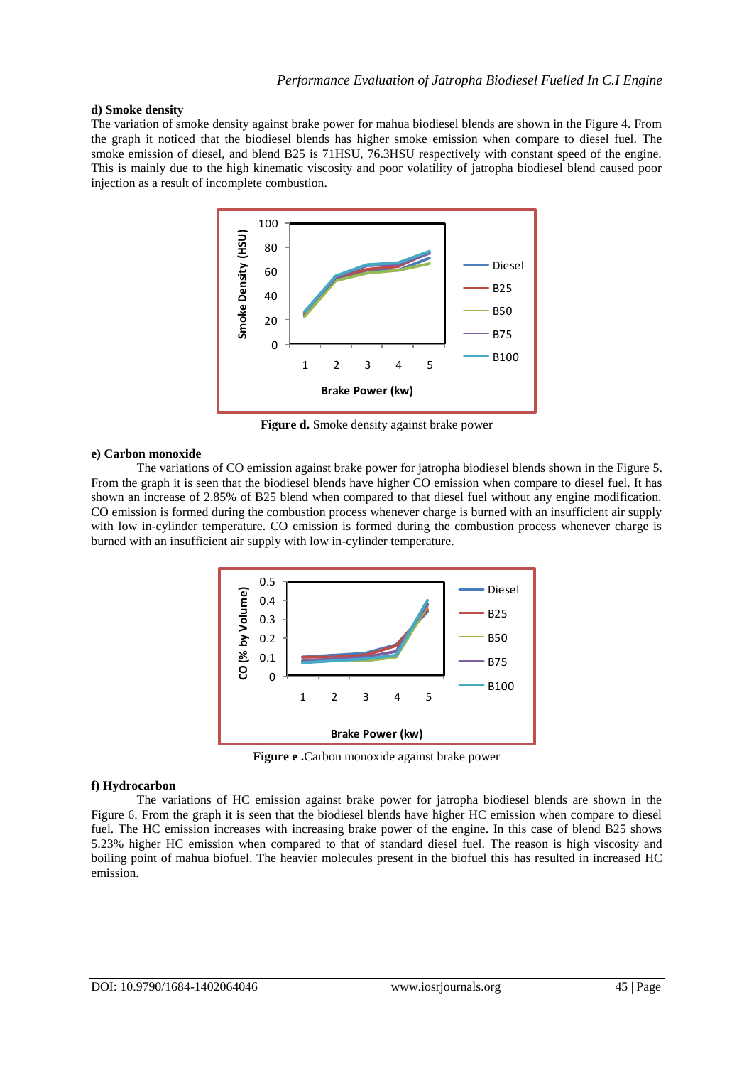#### **d) Smoke density**

The variation of smoke density against brake power for mahua biodiesel blends are shown in the Figure 4. From the graph it noticed that the biodiesel blends has higher smoke emission when compare to diesel fuel. The smoke emission of diesel, and blend B25 is 71HSU, 76.3HSU respectively with constant speed of the engine. This is mainly due to the high kinematic viscosity and poor volatility of jatropha biodiesel blend caused poor injection as a result of incomplete combustion.



**Figure d.** Smoke density against brake power

#### **e) Carbon monoxide**

The variations of CO emission against brake power for jatropha biodiesel blends shown in the Figure 5. From the graph it is seen that the biodiesel blends have higher CO emission when compare to diesel fuel. It has shown an increase of 2.85% of B25 blend when compared to that diesel fuel without any engine modification. CO emission is formed during the combustion process whenever charge is burned with an insufficient air supply with low in-cylinder temperature. CO emission is formed during the combustion process whenever charge is burned with an insufficient air supply with low in-cylinder temperature.



**Figure e .**Carbon monoxide against brake power

#### **f) Hydrocarbon**

The variations of HC emission against brake power for jatropha biodiesel blends are shown in the Figure 6. From the graph it is seen that the biodiesel blends have higher HC emission when compare to diesel fuel. The HC emission increases with increasing brake power of the engine. In this case of blend B25 shows 5.23% higher HC emission when compared to that of standard diesel fuel. The reason is high viscosity and boiling point of mahua biofuel. The heavier molecules present in the biofuel this has resulted in increased HC emission.